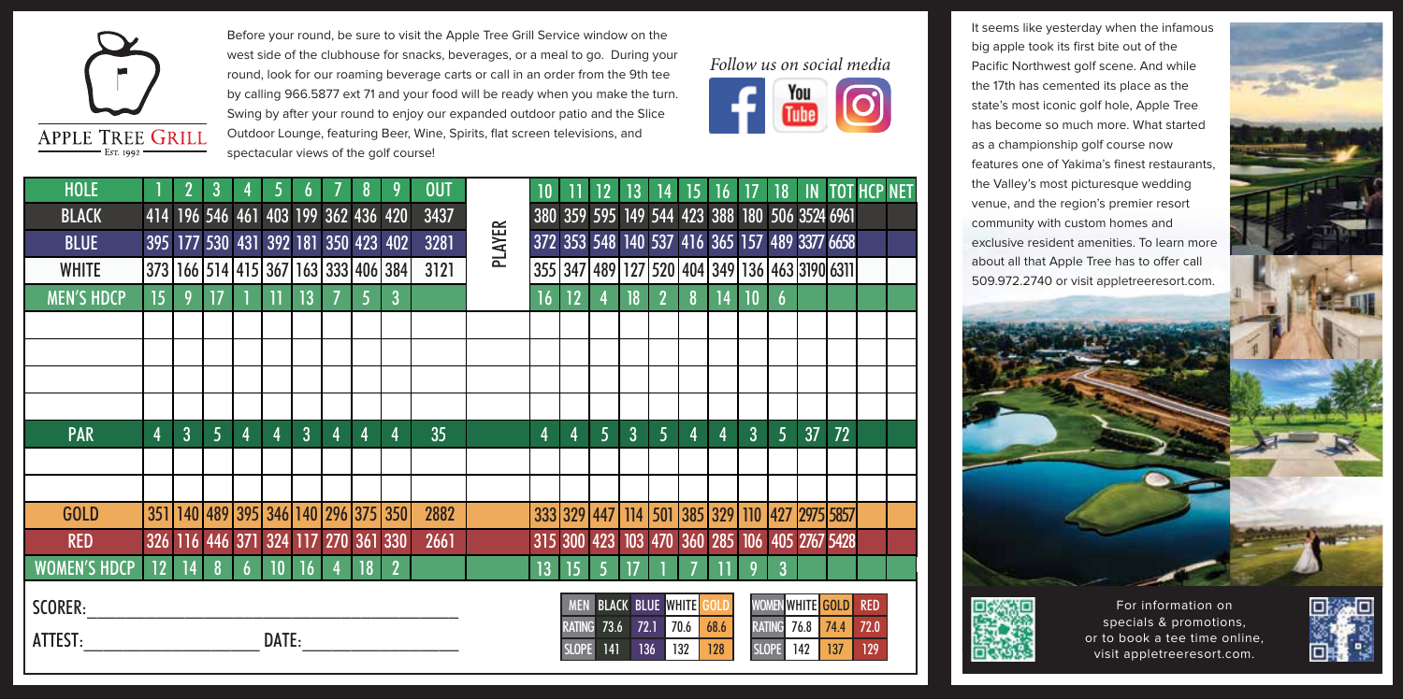

Before your round, be sure to visit the Apple Tree Grill Service window on the west side of the clubhouse for snacks, beverages, or a meal to go. During your round, look for our roaming beverage carts or call in an order from the 9th tee by calling 966.5877 ext 71 and your food will be ready when you make the turn. Swing by after your round to enjoy our expanded outdoor patio and the Slice Outdoor Lounge, featuring Beer, Wine, Spirits, flat screen televisions, and spectacular views of the golf course!



| <b>HOLE</b>         |                                     |   | 3               |   |                                                     |                |    | 8              |                                                     | <b>OUT</b> |               | 10              |              | $12 \overline{ }$ | 13              | 14             | 15 | 16 |                             | 18             |                                               | <b>IN TOT HCP NET</b> |  |
|---------------------|-------------------------------------|---|-----------------|---|-----------------------------------------------------|----------------|----|----------------|-----------------------------------------------------|------------|---------------|-----------------|--------------|-------------------|-----------------|----------------|----|----|-----------------------------|----------------|-----------------------------------------------|-----------------------|--|
| <b>BLACK</b>        | 414 196 546 461 403 199 362 436 420 |   |                 |   |                                                     |                |    |                |                                                     | 3437       |               |                 |              |                   |                 |                |    |    |                             |                | 380 359 595 149 544 423 388 180 506 3524 6961 |                       |  |
| <b>BLUE</b>         |                                     |   |                 |   | 395 177 530 431 392 181 350 423 402                 |                |    |                |                                                     | 3281       | <b>PLAYER</b> |                 |              |                   |                 |                |    |    |                             |                | 372 353 548 140 537 416 365 157 489 3377 6658 |                       |  |
| <b>WHITE</b>        |                                     |   |                 |   |                                                     |                |    |                | 373   166   514   415   367   163   333   406   384 | 3121       |               |                 |              |                   |                 |                |    |    |                             |                | 355 347 489 127 520 404 349 136 463 3190 6311 |                       |  |
| <b>MEN'S HDCP</b>   | 15 <sup>2</sup>                     | 9 | $\overline{17}$ |   | $\overline{1}$                                      | 13             |    | $\overline{5}$ | $\overline{3}$                                      |            |               | 16              | 12           | 4                 | 18              | $\overline{2}$ | 8  | 14 | $\overline{\phantom{0}}$ 10 | $\overline{6}$ |                                               |                       |  |
|                     |                                     |   |                 |   |                                                     |                |    |                |                                                     |            |               |                 |              |                   |                 |                |    |    |                             |                |                                               |                       |  |
|                     |                                     |   |                 |   |                                                     |                |    |                |                                                     |            |               |                 |              |                   |                 |                |    |    |                             |                |                                               |                       |  |
|                     |                                     |   |                 |   |                                                     |                |    |                |                                                     |            |               |                 |              |                   |                 |                |    |    |                             |                |                                               |                       |  |
|                     |                                     |   |                 |   |                                                     |                |    |                |                                                     |            |               |                 |              |                   |                 |                |    |    |                             |                |                                               |                       |  |
| <b>PAR</b>          | 4                                   | 3 | 5               | 4 | 4                                                   | $\overline{3}$ | 4  | 4              | 4                                                   | 35         |               | 4               | 4            | 5                 | 3               | 5              | 4  | 4  | 3                           | 5              | 37                                            | 72                    |  |
|                     |                                     |   |                 |   |                                                     |                |    |                |                                                     |            |               |                 |              |                   |                 |                |    |    |                             |                |                                               |                       |  |
|                     |                                     |   |                 |   |                                                     |                |    |                |                                                     |            |               |                 |              |                   |                 |                |    |    |                             |                |                                               |                       |  |
| <b>GOLD</b>         |                                     |   |                 |   | 351   140   489   395   346   140   296   375   350 |                |    |                |                                                     | 2882       |               |                 |              |                   |                 |                |    |    |                             |                | 333 329 447 114 501 385 329 110 427 2975 5857 |                       |  |
| <b>RED</b>          |                                     |   |                 |   | 326 116 446 371 324 117 270 361 330                 |                |    |                |                                                     | 2661       |               |                 |              |                   |                 |                |    |    |                             |                | 315 300 423 103 470 360 285 106 405 2767 5428 |                       |  |
| <b>WOMEN'S HDCP</b> | $12$ $\overline{14}$                |   | $\frac{8}{3}$   | 6 | 10                                                  | 16             | -4 | 18             | $\overline{2}$                                      |            |               | 13 <sup>°</sup> | $ 15\rangle$ | $\overline{5}$    | $\overline{17}$ |                |    |    | 9                           | 3              |                                               |                       |  |
|                     |                                     |   |                 |   |                                                     |                |    |                |                                                     |            |               |                 |              |                   |                 |                |    |    |                             |                |                                               |                       |  |

It seems like yesterday when the infamous big apple took its first bite out of the Pacific Northwest golf scene. And while the 17th has cemented its place as the state's most iconic golf hole, Apple Tree has become so much more. What started as a championship golf course now features one of Yakima's finest restaurants, the Valley's most picturesque wedding venue, and the region's premier resort community with custom homes and exclusive resident amenities. To learn more about all that Apple Tree has to offer call 509.972.2740 or visit appletreeresort.com.





For information on specials & promotions, or to book a tee time online, visit appletreeresort.com.



 $SCORER:$ 

ATTEST: DATE:

|                  | MEN BLACK BLUE WHITE GOLD  |            |           |  | <b>WOMEN</b>  |  |
|------------------|----------------------------|------------|-----------|--|---------------|--|
|                  | RATING 73.6 72.1 70.6 68.6 |            |           |  | <b>RATING</b> |  |
| <b>SLOPE</b> 141 |                            | <b>136</b> | 132   128 |  | <b>SLOPE</b>  |  |

|                    | WOMEN WHITE GOLD RED |      |     |
|--------------------|----------------------|------|-----|
| <b>RATING 76.8</b> |                      | 74.4 | 720 |
| SLOPE <sup>1</sup> | 142                  | 137  | 129 |